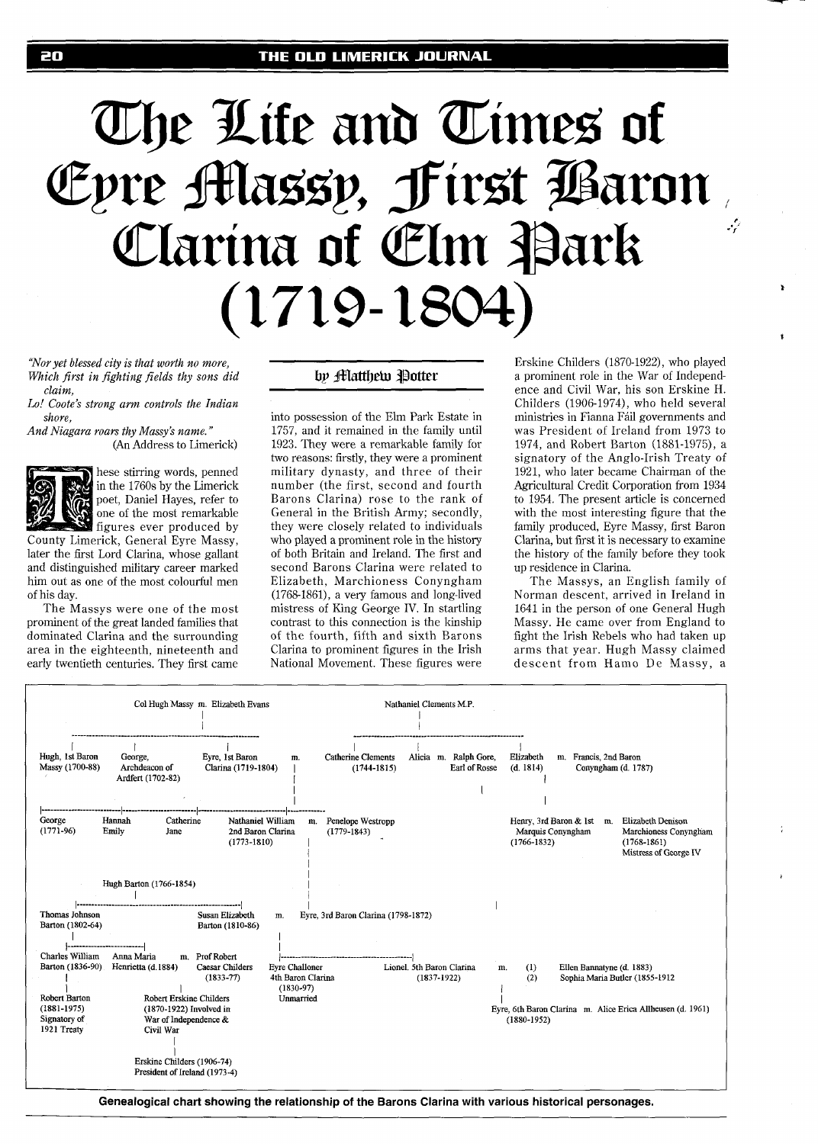# The Life and Times of Epre Massy, First Baron Clarina of Elm Park  $(1719-1804)$

*"Nor yet blessed city is that worth no more, Which first in fighting fields thy sons did claim,* 

*Lo! Coote's strong arm controls the Indian shore,* 

*And Niagara roam thy Massy's name.* " (An Address to Limerick)



hese stirring words, penned in the 1760s by the Limerick poet, Daniel Hayes, refer to one of the most remarkable figures ever produced by

County Limerick, General Eyre Massy, later the first Lord Clarina, whose gallant and distinguished military career marked him out as one of the most colourful men of his day.

The Massys were one of the most prominent of the great landed families that dominated Clarina and the surrounding area in the eighteenth, nineteenth and early twentieth centuries. They first came

# by **Matthew** Potter

into possession of the Elm Park Estate in 1757, and it remained in the family until 1923. They were a remarkable family for two reasons: firstly, they were a prominent military dynasty, and three of their number (the first, second and fourth Barons Clarina) rose to the rank of General in the British Army; secondly, they were closely related to individuals who played a prominent role in the history of both Britain and Ireland. The first and second Barons Clarina were related to Elizabeth, Marchioness Conyngham (1768-1861), a very famous and long-lived mistress of King George IV. In startling contrast to this connection is the kinship of the fourth, fifth and sixth Barons Clarina to prominent figures in the Irish National Movement. These figures were

Erskine Childers (1870-1922), who played a prominent role in the War of Independence and Civil War, his son Erskine H. Childers (1906-1974), who held several ministries in Fianna Fáil governments and was President of Ireland from 1973 to 1974, and Robert Barton (1881-1975), a signatory of the Anglo-Irish Treaty of 1921, who later became Chairman of the Agricultural Credit Corporation from 1934 to 1954. The present article is concerned with the most interesting figure that the family produced, Eyre Massy, first Baron Clarina, but first it is necessary to examine the history of the family before they took up residence in Clarina.

The Massys, an English family of Norman descent, arrived in Ireland in 1641 in the person of one General Hugh Massy. He came over from England to fight the Irish Rebels who had taken up arms that year. Hugh Massy claimed descent from Hamo De Massy, a



**Genealogical chart showing the relationship of the Barons Clarina with various historical personages.**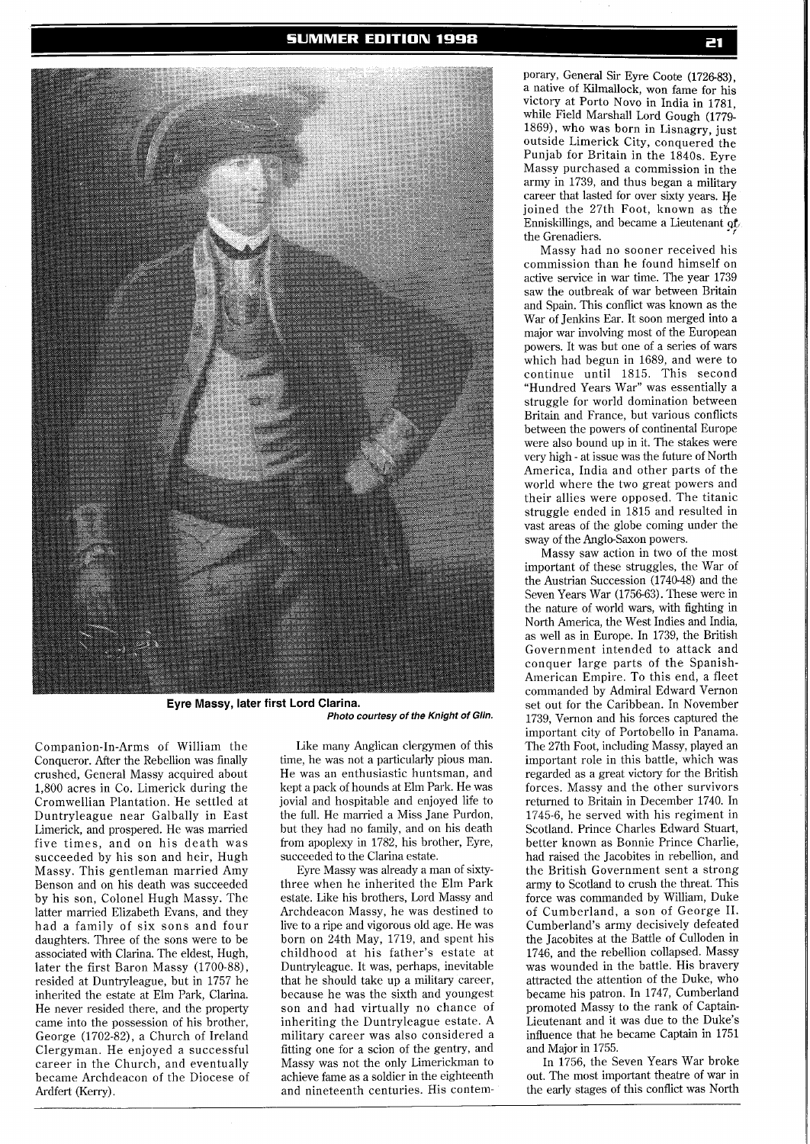

**Eyre Massy, later first Lord Clarina. Photo courtesy of the Knight of Glin.** 

Companion-In-Arms of William the Conqueror. After the Rebellion was finally crushed, General Massy acquired about 1,800 acres in Co. Limerick during the Cromwellian Plantation. He settled at Duntryleague near Galbally in East Limerick, and prospered. He was married five times, and on his death was succeeded by his son and heir, Hugh Massy. This gentleman married Amy Benson and on his death was succeeded by his son, Colonel Hugh Massy. The latter married Elizabeth Evans, and they had a family of six sons and four daughters. Three of the sons were to be associated with Clarina. The eldest, Hugh, later the first Baron Massy (1700-88), resided at Duntryleague, but in 1757 he inherited the estate at Elm Park, Clarina. He never resided there, and the property came into the possession of his brother, George (1702-82), a Church of Ireland Clergyman. He enjoyed a successful career in the Church, and eventually became Archdeacon of the Diocese of Ardfert (Kerry).

Like many Anglican clergymen of this time, he was not a particularly pious man. He was an enthusiastic huntsman, and kept a pack of hounds at Elm Park. He was jovial and hospitable and enjoyed life to the full. He married a Miss Jane Purdon, but they had no family, and on his death from apoplexy in 1782, his brother, Eyre, succeeded to the Clarina estate.

Eyre Massy was already a man of sixtythree when he inherited the Elm Park estate. Like his brothers, Lord Massy and Archdeacon Massy, he was destined to live to a ripe and vigorous old age. He was born on 24th May, 1719, and spent his childhood at his father's estate at Duntryleague. It was, perhaps, inevitable that he should take up a military career, because he was the sixth and youngest son and had virtually no chance of inheriting the Duntryleague estate. A military career was also considered a fitting one for a scion of the gentry, and Massy was not the only Limerickman to achieve fame as a soldier in the eighteenth and nineteenth centuries. His contem-

porary, General Sir Eyre Coote (1726-83), a native of Kilmallock, won fame for his victory at Porto Novo in India in 1781, while Field Marshal1 Lord Gough (1779- 1869, who was born in Lisnagry, just outside Limerick City, conquered the Punjab for Britain in the 1840s. Eyre Massy purchased a commission in the army in 1739, and thus began a military career that lasted for over sixty years. He joined the 27th Foot, known as the Enniskillings, and became a Lieutenant of the Grenadiers.

Massy had no sooner received his commission than he found himself on active service in war time. The year 1739 saw the outbreak of war between Britain and Spain. This conflict was known as the War of Jenkins Ear. It soon merged into a major war involving most of the European powers. It was but one of a series of wars which had begun in 1689, and were to continue until 1815. This second "Hundred Years War" was essentially a struggle for world domination between Britain and France, but various conflicts between the powers of continental Europe were also bound up in it. The stakes were very high - at issue was the future of North America, India and other parts of the world where the two great powers and their allies were opposed. The titanic struggle ended in 1815 and resulted in vast areas of the globe coming under the sway of the Anglo-Saxon powers.

Massy saw action in two of the most important of these struggles, the War of the Austrian Succession (1740-48) and the Seven Years War (1756-63). These were in the nature of world wars, with fighting in North America, the West Indies and India, as well as in Europe. In 1739, the British Government intended to attack and conquer large parts of the Spanish-American Empire. To this end, a fleet commanded by Admiral Edward Vernon set out for the Caribbean. In November 1739, Vernon and his forces captured the important city of Portobello in Panama. The 27th Foot, including Massy, played an important role in this battle, which was regarded as a great victory for the British forces. Massy and the other survivors returned to Britain in December 1740. In 1745-6, he served with his regiment in Scotland. Prince Charles Edward Stuart, better known as Bonnie Prince Charlie, had raised the Jacobites in rebellion, and the British Government sent a strong army to Scotland to crush the threat. This force was commanded by William, Duke of Cumberland, a son of George 11. Cumberland's army decisively defeated the Jacobites at the Battle of Culloden in 1746, and the rebellion collapsed. Massy was wounded in the battle. His bravery attracted the attention of the Duke, who became his patron. In 1747, Cumberland promoted Massy to the rank of Captain-Lieutenant and it was due to the Duke's influence that he became Captain in 1751 and Major in 1755.

In 1756, the Seven Years War broke out. The most important theatre of war in the early stages of this conflict was North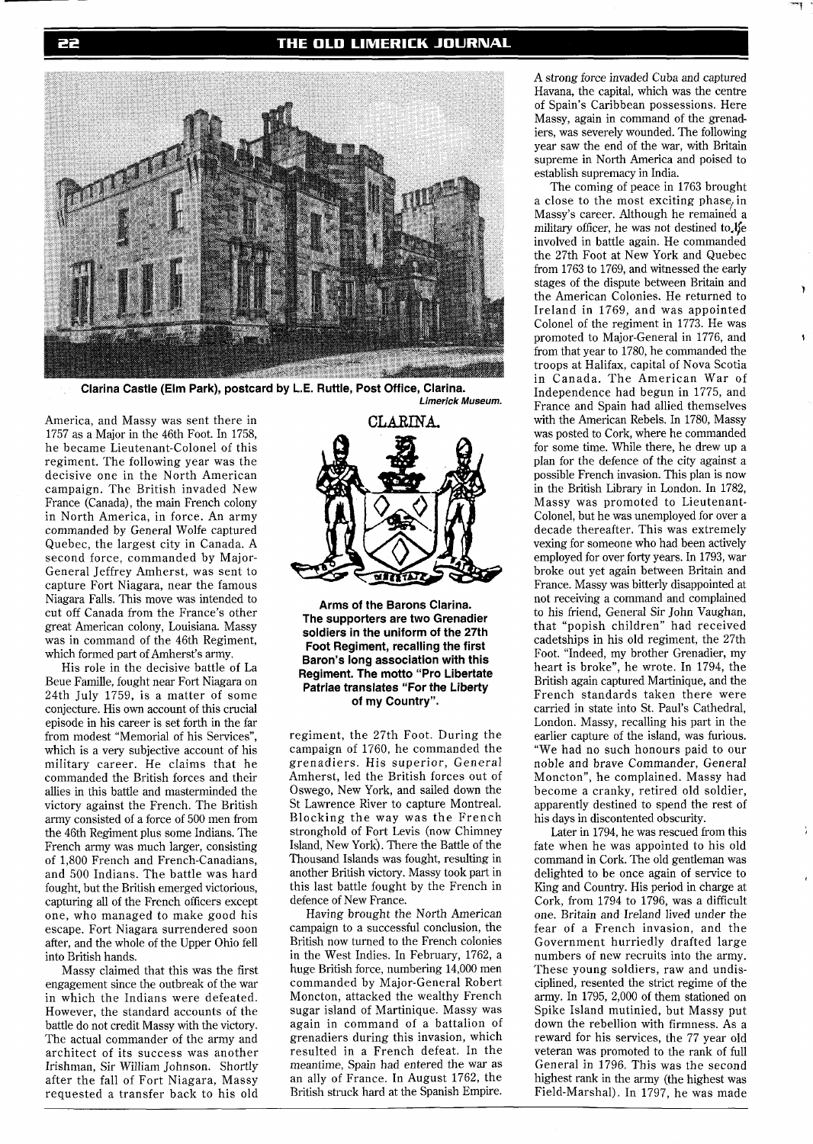## THE OLD LIMERICK JOURNAL



**Clarina Castle (Elm Park), postcard bv L.E. Ruttle, Post Office, Clarina. Limerick Museum.** 

America, and Massy was sent there in 1757 as a Major in the 46th Foot. In 1758, he became Lieutenant-Colonel of this regiment. The following year was the decisive one in the North American campaign. The British invaded New France (Canada), the main French colony in North America, in force. An army commanded by General Wolfe captured Quebec, the largest city in Canada. A second force, commanded by Major-General Jeffrey Amherst, was sent to capture Fort Niagara, near the famous Niagara Falls. This move was intended to cut off Canada from the France's other great American colony, Louisiana. Massy was in command of the 46th Regiment, which formed part of Amherst's army.

His role in the decisive battle of La Beue Famille, fought near Fort Niagara on 24th July 1759, is a matter of some conjecture. His own account of this crucial episode in his career is set forth in the far from modest "Memorial of his Services", which is a very subjective account of his military career. He claims that he commanded the British forces and their allies in this battle and masterminded the victory against the French. The British army consisted of a force of 500 men from the 46th Regiment plus some Indians. The French army was much larger, consisting of 1,800 French and French-Canadians, and 500 Indians. The battle was hard fought, but the British emerged victorious, capturing all of the French officers except one, who managed to make good his escape. Fort Niagara surrendered soon after, and the whole of the Upper Ohio fell into British hands.

Massy claimed that this was the first engagement since the outbreak of the war in which the Indians were defeated. However, the standard accounts of the battle do not credit Massy with the victory. The actual commander of the army and architect of its success was another Irishman, Sir William Johnson. Shortly after the fall of Fort Niagara, Massy requested a transfer back to his old



**Arms of the Barons Clarina. The supporters are two Grenadier soldiers in the uniform of the 27th Foot Regiment, recalling the first Baron's long association with this Regiment. The motto "Pro Libertate Patriae translates "For the Liberty of my Country".** 

regiment, the 27th Foot. During the campaign of 1760, he commanded the grenadiers. His superior, General Amherst, led the British forces out of Oswego, New York, and sailed down the St Lawrence River to capture Montreal. Blocking the way was the French stronghold of Fort Levis (now Chimney Island, New York). There the Battle of the Thousand Islands was fought, resulting in another British victory. Massy took part in this last battle fought by the French in defence of New France.

Having brought the North American campaign to a successful conclusion, the British now turned to the French colonies in the West Indies. In February, 1762, a huge British force, numbering 14,000 men commanded by Major-General Robert Moncton, attacked the wealthy French sugar island of Martinique. Massy was again in command of a battalion of grenadiers during this invasion, which resulted in a French defeat. In the meantime, Spain had entered the war as an ally of France. In August 1762, the British struck hard at the Spanish Empire.

A strong force invaded Cuba and captured Havana, the capital, which was the centre of Spain's Caribbean possessions. Here Massy, again in command of the grenadiers, was severely wounded. The following year saw the end of the war, with Britain supreme in North America and poised to establish supremacy in India.

The coming of peace in 1763 brought a close to the most exciting phase, in Massy's career. Although he remained a military officer, he was not destined to  $E$ e involved in battle again. He commanded the 27th Foot at New York and Quebec from 1763 to 1769, and witnessed the early stages of the dispute between Britain and the American Colonies. He returned to Ireland in 1769, and was appointed Colonel of the regiment in 1773. He was promoted to Major-General in 1776, and from that year to 1780, he commanded the troops at Halifax, capital of Nova Scotia in Canada. The American War of Independence had begun in 1775, and France and Spain had allied themselves with the American Rebels. In 1780, Massy was posted to Cork, where he commanded for some time. While there, he drew up a plan for the defence of the city against a possible French invasion. This plan is now in the British Library in London. In 1782, Massy was promoted to Lieutenant-Colonel, but he was unemployed for over a decade thereafter. This was extremely vexing for someone who had been actively employed for over forty years. In 1793, war broke out yet again between Britain and France. Massy was bitterly disappointed at not receiving a command and complained to his friend, General Sir John Vaughan, that "popish children" had received cadetships in his old regiment, the 27th Foot. "Indeed, my brother Grenadier, my heart is broke", he wrote. In 1794, the British again captured Martinique, and the French standards taken there were carried in state into St. Paul's Cathedral, London. Massy, recalling his part in the earlier capture of the island, was furious. "We had no such honours paid to our noble and brave Commander, General Moncton", he complained. Massy had become a cranky, retired old soldier, apparently destined to spend the rest of his days in discontented obscurity.

Later in 1794, he was rescued from this fate when he was appointed to his old command in Cork. The old gentleman was delighted to be once again of service to King and Country. His period in charge at Cork, from 1794 to 1796, was a difficult one. Britain and Ireland lived under the fear of a French invasion, and the Government hurriedly drafted large numbers of new recruits into the army. These young soldiers, raw and undisciplined, resented the strict regime of the army. In 1795, 2,000 of them stationed on Spike Island mutinied, but Massy put down the rebellion with firmness. As a reward for his services, the 77 year old veteran was promoted to the rank of full General in 1796. This was the second highest rank in the army (the highest was Field-Marshal). In 1797, he was made